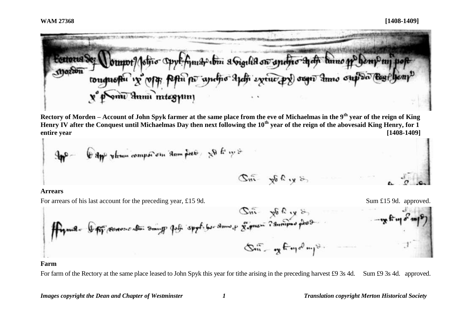$\cdot$ 



**Rectory of Morden – Account of John Spyk farmer at the same place from the eve of Michaelmas in the 9th year of the reign of King Henry IV after the Conquest until Michaelmas Day then next following the 10th year of the reign of the abovesaid King Henry, for 1 entire year [1408-1409]**

$$
3\pi^{2} = 6 \text{ dyn/s}
$$

**Arrears**

For arrears of his last account for the preceding year, £15.9d. Sum £15.9d. Sum £15.9d. approved.

### **Farm**

For farm of the Rectory at the same place leased to John Spyk this year for tithe arising in the preceding harvest £9 3s 4d. Sum £9 3s 4d. approved.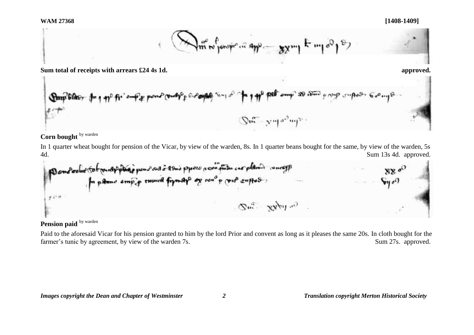

**Sum total of receipts with arrears £24 4s 1d. approved.**

mar and come to your control of the Amp blas,  $\mathbb{Q}$ m - ympa<sup>2</sup>mp

# Corn bought **by warden**

In 1 quarter wheat bought for pension of the Vicar, by view of the warden, 8s. In 1 quarter beans bought for the same, by view of the warden, 5s 4d. Sum 13s 4d. approved.

pour d'ordre test principale pour sus à 19mis proce nous prises en plants concept  $t^{c*+}$  $\mathcal{S}^m$  xx by a)

# Pension paid **by warden**

Paid to the aforesaid Vicar for his pension granted to him by the lord Prior and convent as long as it pleases the same 20s. In cloth bought for the farmer's tunic by agreement, by view of the warden 7s. Sum 27s. approved.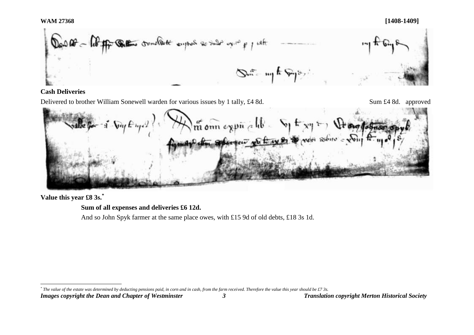#### **WAM 27368 [1408-1409]**



#### **Cash Deliveries**

Delivered to brother William Sonewell warden for various issues by 1 tally, £4 8d. Sum £4 8d. approved

 $\sqrt{n}$  onn expir a hb what sphered with

**Value this year £8 3s.\***

**Sum of all expenses and deliveries £6 12d.** 

And so John Spyk farmer at the same place owes, with £15 9d of old debts, £18 3s 1d.

*Images copyright the Dean and Chapter of Westminster 3 Translation copyright Merton Historical Society* l *\* The value of the estate was determined by deducting pensions paid, in corn and in cash, from the farm received. Therefore the value this year should be £7 3s.*